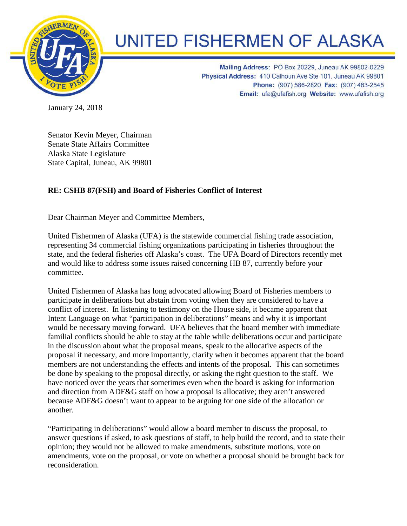

## **UNITED FISHERMEN OF ALASKA**

Mailing Address: PO Box 20229, Juneau AK 99802-0229 Physical Address: 410 Calhoun Ave Ste 101, Juneau AK 99801 Phone: (907) 586-2820 Fax: (907) 463-2545 Email: ufa@ufafish.org Website: www.ufafish.org

January 24, 2018

Senator Kevin Meyer, Chairman Senate State Affairs Committee Alaska State Legislature State Capital, Juneau, AK 99801

## **RE: CSHB 87(FSH) and Board of Fisheries Conflict of Interest**

Dear Chairman Meyer and Committee Members,

United Fishermen of Alaska (UFA) is the statewide commercial fishing trade association, representing 34 commercial fishing organizations participating in fisheries throughout the state, and the federal fisheries off Alaska's coast. The UFA Board of Directors recently met and would like to address some issues raised concerning HB 87, currently before your committee.

United Fishermen of Alaska has long advocated allowing Board of Fisheries members to participate in deliberations but abstain from voting when they are considered to have a conflict of interest. In listening to testimony on the House side, it became apparent that Intent Language on what "participation in deliberations" means and why it is important would be necessary moving forward. UFA believes that the board member with immediate familial conflicts should be able to stay at the table while deliberations occur and participate in the discussion about what the proposal means, speak to the allocative aspects of the proposal if necessary, and more importantly, clarify when it becomes apparent that the board members are not understanding the effects and intents of the proposal. This can sometimes be done by speaking to the proposal directly, or asking the right question to the staff. We have noticed over the years that sometimes even when the board is asking for information and direction from ADF&G staff on how a proposal is allocative; they aren't answered because ADF&G doesn't want to appear to be arguing for one side of the allocation or another.

"Participating in deliberations" would allow a board member to discuss the proposal, to answer questions if asked, to ask questions of staff, to help build the record, and to state their opinion; they would not be allowed to make amendments, substitute motions, vote on amendments, vote on the proposal, or vote on whether a proposal should be brought back for reconsideration.